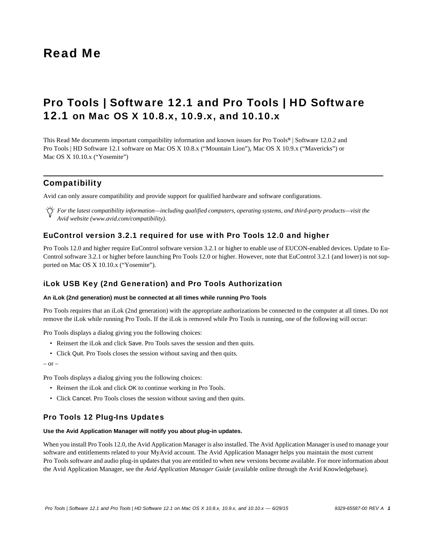# Read Me

# Pro Tools | Software 12.1 and Pro Tools | HD Software 12.1 on Mac OS X 10.8.x, 10.9.x, and 10.10.x

This Read Me documents important compatibility information and known issues for Pro Tools*®* | Software 12.0.2 and Pro Tools | HD Software 12.1 software on Mac OS X 10.8.x ("Mountain Lion"), Mac OS X 10.9.x ("Mavericks") or Mac OS X 10.10.x ("Yosemite")

# Compatibility

Avid can only assure compatibility and provide support for qualified hardware and software configurations.

*For the latest compatibility information—including qualified computers, operating systems, and third-party products—visit the Avid website (www.avid.com/compatibility).*

# EuControl version 3.2.1 required for use with Pro Tools 12.0 and higher

Pro Tools 12.0 and higher require EuControl software version 3.2.1 or higher to enable use of EUCON-enabled devices. Update to Eu-Control software 3.2.1 or higher before launching Pro Tools 12.0 or higher. However, note that EuControl 3.2.1 (and lower) is not supported on Mac OS X 10.10.x ("Yosemite").

# iLok USB Key (2nd Generation) and Pro Tools Authorization

# **An iLok (2nd generation) must be connected at all times while running Pro Tools**

Pro Tools requires that an iLok (2nd generation) with the appropriate authorizations be connected to the computer at all times. Do not remove the iLok while running Pro Tools. If the iLok is removed while Pro Tools is running, one of the following will occur:

Pro Tools displays a dialog giving you the following choices:

- Reinsert the iLok and click Save. Pro Tools saves the session and then quits.
- Click Quit. Pro Tools closes the session without saving and then quits.

 $-$  or  $-$ 

Pro Tools displays a dialog giving you the following choices:

- Reinsert the iLok and click OK to continue working in Pro Tools.
- Click Cancel. Pro Tools closes the session without saving and then quits.

# Pro Tools 12 Plug-Ins Updates

#### **Use the Avid Application Manager will notify you about plug-in updates.**

When you install Pro Tools 12.0, the Avid Application Manager is also installed. The Avid Application Manager is used to manage your software and entitlements related to your MyAvid account. The Avid Application Manager helps you maintain the most current Pro Tools software and audio plug-in updates that you are entitled to when new versions become available. For more information about the Avid Application Manager, see the *Avid Application Manager Guide* (available online through the Avid Knowledgebase).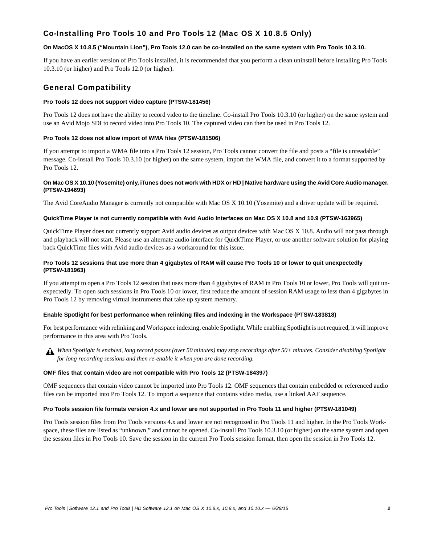# Co-Installing Pro Tools 10 and Pro Tools 12 (Mac OS X 10.8.5 Only)

# **On MacOS X 10.8.5 ("Mountain Lion"), Pro Tools 12.0 can be co-installed on the same system with Pro Tools 10.3.10.**

If you have an earlier version of Pro Tools installed, it is recommended that you perform a clean uninstall before installing Pro Tools 10.3.10 (or higher) and Pro Tools 12.0 (or higher).

# General Compatibility

### **Pro Tools 12 does not support video capture (PTSW-181456)**

Pro Tools 12 does not have the ability to record video to the timeline. Co-install Pro Tools 10.3.10 (or higher) on the same system and use an Avid Mojo SDI to record video into Pro Tools 10. The captured video can then be used in Pro Tools 12.

# **Pro Tools 12 does not allow import of WMA files (PTSW-181506)**

If you attempt to import a WMA file into a Pro Tools 12 session, Pro Tools cannot convert the file and posts a "file is unreadable" message. Co-install Pro Tools 10.3.10 (or higher) on the same system, import the WMA file, and convert it to a format supported by Pro Tools 12.

### **On Mac OS X 10.10 (Yosemite) only, iTunes does not work with HDX or HD | Native hardware using the Avid Core Audio manager. (PTSW-194693)**

The Avid CoreAudio Manager is currently not compatible with Mac OS X 10.10 (Yosemite) and a driver update will be required.

### **QuickTime Player is not currently compatible with Avid Audio Interfaces on Mac OS X 10.8 and 10.9 (PTSW-163965)**

QuickTime Player does not currently support Avid audio devices as output devices with Mac OS X 10.8. Audio will not pass through and playback will not start. Please use an alternate audio interface for QuickTime Player, or use another software solution for playing back QuickTime files with Avid audio devices as a workaround for this issue.

# **Pro Tools 12 sessions that use more than 4 gigabytes of RAM will cause Pro Tools 10 or lower to quit unexpectedly (PTSW-181963)**

If you attempt to open a Pro Tools 12 session that uses more than 4 gigabytes of RAM in Pro Tools 10 or lower, Pro Tools will quit unexpectedly. To open such sessions in Pro Tools 10 or lower, first reduce the amount of session RAM usage to less than 4 gigabytes in Pro Tools 12 by removing virtual instruments that take up system memory.

# **Enable Spotlight for best performance when relinking files and indexing in the Workspace (PTSW-183818)**

For best performance with relinking and Workspace indexing, enable Spotlight. While enabling Spotlight is not required, it will improve performance in this area with Pro Tools.

*When Spotlight is enabled, long record passes (over 50 minutes) may stop recordings after 50+ minutes. Consider disabling Spotlight for long recording sessions and then re-enable it when you are done recording.*

#### **OMF files that contain video are not compatible with Pro Tools 12 (PTSW-184397)**

OMF sequences that contain video cannot be imported into Pro Tools 12. OMF sequences that contain embedded or referenced audio files can be imported into Pro Tools 12. To import a sequence that contains video media, use a linked AAF sequence.

#### **Pro Tools session file formats version 4.x and lower are not supported in Pro Tools 11 and higher (PTSW-181049)**

Pro Tools session files from Pro Tools versions 4.x and lower are not recognized in Pro Tools 11 and higher. In the Pro Tools Workspace, these files are listed as "unknown," and cannot be opened. Co-install Pro Tools 10.3.10 (or higher) on the same system and open the session files in Pro Tools 10. Save the session in the current Pro Tools session format, then open the session in Pro Tools 12.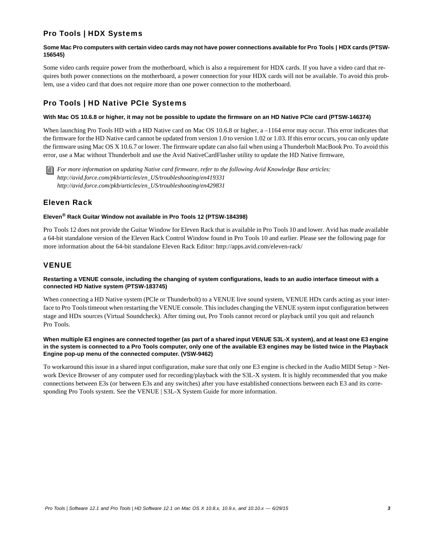# Pro Tools | HDX Systems

# Some Mac Pro computers with certain video cards may not have power connections available for Pro Tools | HDX cards (PTSW-**156545)**

Some video cards require power from the motherboard, which is also a requirement for HDX cards. If you have a video card that requires both power connections on the motherboard, a power connection for your HDX cards will not be available. To avoid this problem, use a video card that does not require more than one power connection to the motherboard.

# Pro Tools | HD Native PCIe Systems

# **With Mac OS 10.6.8 or higher, it may not be possible to update the firmware on an HD Native PCIe card (PTSW-146374)**

When launching Pro Tools HD with a HD Native card on Mac OS 10.6.8 or higher, a -1164 error may occur. This error indicates that the firmware for the HD Native card cannot be updated from version 1.0 to version 1.02 or 1.03. If this error occurs, you can only update the firmware using Mac OS X 10.6.7 or lower. The firmware update can also fail when using a Thunderbolt MacBook Pro. To avoid this error, use a Mac without Thunderbolt and use the Avid NativeCardFlasher utility to update the HD Native firmware,

*For more information on updating Native card firmware, refer to the following Avid Knowledge Base articles: http://avid.force.com/pkb/articles/en\_US/troubleshooting/en419331 http://avid.force.com/pkb/articles/en\_US/troubleshooting/en429831*

# Eleven Rack

# **Eleven® Rack Guitar Window not available in Pro Tools 12 (PTSW-184398)**

Pro Tools 12 does not provide the Guitar Window for Eleven Rack that is available in Pro Tools 10 and lower. Avid has made available a 64-bit standalone version of the Eleven Rack Control Window found in Pro Tools 10 and earlier. Please see the following page for more information about the 64-bit standalone Eleven Rack Editor: http://apps.avid.com/eleven-rack/

# VENUE

# **Restarting a VENUE console, including the changing of system configurations, leads to an audio interface timeout with a connected HD Native system (PTSW-183745)**

When connecting a HD Native system (PCIe or Thunderbolt) to a VENUE live sound system, VENUE HDx cards acting as your interface to Pro Tools timeout when restarting the VENUE console. This includes changing the VENUE system input configuration between stage and HDx sources (Virtual Soundcheck). After timing out, Pro Tools cannot record or playback until you quit and relaunch Pro Tools.

# **When multiple E3 engines are connected together (as part of a shared input VENUE S3L-X system), and at least one E3 engine in the system is connected to a Pro Tools computer, only one of the available E3 engines may be listed twice in the Playback Engine pop-up menu of the connected computer. (VSW-9462)**

To workaround this issue in a shared input configuration, make sure that only one E3 engine is checked in the Audio MIDI Setup > Network Device Browser of any computer used for recording/playback with the S3L-X system. It is highly recommended that you make connections between E3s (or between E3s and any switches) after you have established connections between each E3 and its corresponding Pro Tools system. See the VENUE | S3L-X System Guide for more information.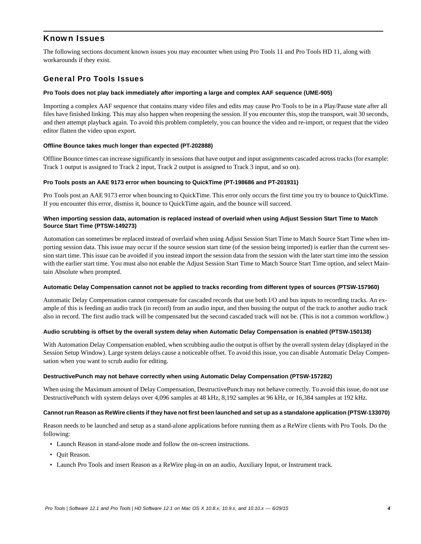# Known Issues

The following sections document known issues you may encounter when using Pro Tools 11 and Pro Tools HD 11, along with workarounds if they exist.

# General Pro Tools Issues

### **Pro Tools does not play back immediately after importing a large and complex AAF sequence (UME-905)**

Importing a complex AAF sequence that contains many video files and edits may cause Pro Tools to be in a Play/Pause state after all files have finished linking. This may also happen when reopening the session. If you encounter this, stop the transport, wait 30 seconds, and then attempt playback again. To avoid this problem completely, you can bounce the video and re-import, or request that the video editor flatten the video upon export.

### **Offline Bounce takes much longer than expected (PT-202888)**

Offline Bounce times can increase significantly in sessions that have output and input assignments cascaded across tracks (for example: Track 1 output is assigned to Track 2 input, Track 2 output is assigned to Track 3 input, and so on).

### **Pro Tools posts an AAE 9173 error when bouncing to QuickTime (PT-198686 and PT-201931)**

Pro Tools post an AAE 9173 error when bouncing to QuickTime. This error only occurs the first time you try to bounce to QuickTime. If you encounter this error, dismiss it, bounce to QuickTime again, and the bounce will succeed.

### **When importing session data, automation is replaced instead of overlaid when using Adjust Session Start Time to Match Source Start Time (PTSW-149273)**

Automation can sometimes be replaced instead of overlaid when using Adjust Session Start Time to Match Source Start Time when importing session data. This issue may occur if the source session start time (of the session being imported) is earlier than the current session start time. This issue can be avoided if you instead import the session data from the session with the later start time into the session with the earlier start time. You must also not enable the Adjust Session Start Time to Match Source Start Time option, and select Maintain Absolute when prompted.

#### **Automatic Delay Compensation cannot not be applied to tracks recording from different types of sources (PTSW-157960)**

Automatic Delay Compensation cannot compensate for cascaded records that use both I/O and bus inputs to recording tracks. An example of this is feeding an audio track (in record) from an audio input, and then bussing the output of the track to another audio track also in record. The first audio track will be compensated but the second cascaded track will not be. (This is not a common workflow.)

#### **Audio scrubbing is offset by the overall system delay when Automatic Delay Compensation is enabled (PTSW-150138)**

With Automation Delay Compensation enabled, when scrubbing audio the output is offset by the overall system delay (displayed in the Session Setup Window). Large system delays cause a noticeable offset. To avoid this issue, you can disable Automatic Delay Compensation when you want to scrub audio for editing.

#### **DestructivePunch may not behave correctly when using Automatic Delay Compensation (PTSW-157282)**

When using the Maximum amount of Delay Compensation, DestructivePunch may not behave correctly. To avoid this issue, do not use DestructivePunch with system delays over 4,096 samples at 48 kHz, 8,192 samples at 96 kHz, or 16,384 samples at 192 kHz.

#### **Cannot run Reason as ReWire clients if they have not first been launched and set up as a standalone application (PTSW-133070)**

Reason needs to be launched and setup as a stand-alone applications before running them as a ReWire clients with Pro Tools. Do the following:

- Launch Reason in stand-alone mode and follow the on-screen instructions.
- Quit Reason.
- Launch Pro Tools and insert Reason as a ReWire plug-in on an audio, Auxiliary Input, or Instrument track.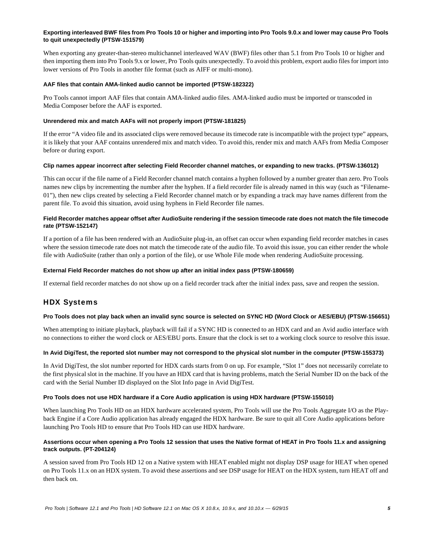# **Exporting interleaved BWF files from Pro Tools 10 or higher and importing into Pro Tools 9.0.x and lower may cause Pro Tools to quit unexpectedly (PTSW-151579)**

When exporting any greater-than-stereo multichannel interleaved WAV (BWF) files other than 5.1 from Pro Tools 10 or higher and then importing them into Pro Tools 9.x or lower, Pro Tools quits unexpectedly. To avoid this problem, export audio files for import into lower versions of Pro Tools in another file format (such as AIFF or multi-mono).

#### **AAF files that contain AMA-linked audio cannot be imported (PTSW-182322)**

Pro Tools cannot import AAF files that contain AMA-linked audio files. AMA-linked audio must be imported or transcoded in Media Composer before the AAF is exported.

### **Unrendered mix and match AAFs will not properly import (PTSW-181825)**

If the error "A video file and its associated clips were removed because its timecode rate is incompatible with the project type" appears, it is likely that your AAF contains unrendered mix and match video. To avoid this, render mix and match AAFs from Media Composer before or during export.

### **Clip names appear incorrect after selecting Field Recorder channel matches, or expanding to new tracks. (PTSW-136012)**

This can occur if the file name of a Field Recorder channel match contains a hyphen followed by a number greater than zero. Pro Tools names new clips by incrementing the number after the hyphen. If a field recorder file is already named in this way (such as "Filename-01"), then new clips created by selecting a Field Recorder channel match or by expanding a track may have names different from the parent file. To avoid this situation, avoid using hyphens in Field Recorder file names.

# **Field Recorder matches appear offset after AudioSuite rendering if the session timecode rate does not match the file timecode rate (PTSW-152147)**

If a portion of a file has been rendered with an AudioSuite plug-in, an offset can occur when expanding field recorder matches in cases where the session timecode rate does not match the timecode rate of the audio file. To avoid this issue, you can either render the whole file with AudioSuite (rather than only a portion of the file), or use Whole File mode when rendering AudioSuite processing.

### **External Field Recorder matches do not show up after an initial index pass (PTSW-180659)**

If external field recorder matches do not show up on a field recorder track after the initial index pass, save and reopen the session.

# HDX Systems

# **Pro Tools does not play back when an invalid sync source is selected on SYNC HD (Word Clock or AES/EBU) (PTSW-156651)**

When attempting to initiate playback, playback will fail if a SYNC HD is connected to an HDX card and an Avid audio interface with no connections to either the word clock or AES/EBU ports. Ensure that the clock is set to a working clock source to resolve this issue.

# **In Avid DigiTest, the reported slot number may not correspond to the physical slot number in the computer (PTSW-155373)**

In Avid DigiTest, the slot number reported for HDX cards starts from 0 on up. For example, "Slot 1" does not necessarily correlate to the first physical slot in the machine. If you have an HDX card that is having problems, match the Serial Number ID on the back of the card with the Serial Number ID displayed on the Slot Info page in Avid DigiTest.

# **Pro Tools does not use HDX hardware if a Core Audio application is using HDX hardware (PTSW-155010)**

When launching Pro Tools HD on an HDX hardware accelerated system, Pro Tools will use the Pro Tools Aggregate I/O as the Playback Engine if a Core Audio application has already engaged the HDX hardware. Be sure to quit all Core Audio applications before launching Pro Tools HD to ensure that Pro Tools HD can use HDX hardware.

# **Assertions occur when opening a Pro Tools 12 session that uses the Native format of HEAT in Pro Tools 11.x and assigning track outputs. (PT-204124)**

A session saved from Pro Tools HD 12 on a Native system with HEAT enabled might not display DSP usage for HEAT when opened on Pro Tools 11.x on an HDX system. To avoid these assertions and see DSP usage for HEAT on the HDX system, turn HEAT off and then back on.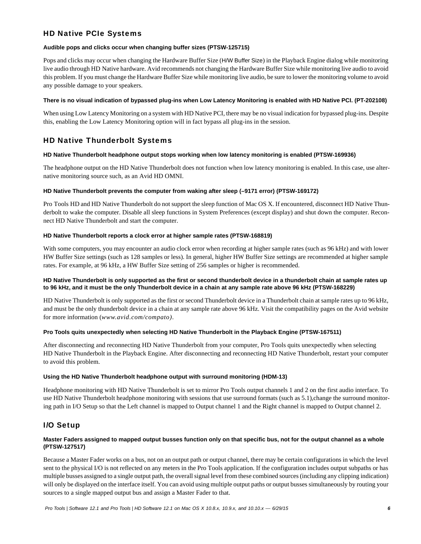# HD Native PCIe Systems

# **Audible pops and clicks occur when changing buffer sizes (PTSW-125715)**

Pops and clicks may occur when changing the Hardware Buffer Size (H/W Buffer Size) in the Playback Engine dialog while monitoring live audio through HD Native hardware. Avid recommends not changing the Hardware Buffer Size while monitoring live audio to avoid this problem. If you must change the Hardware Buffer Size while monitoring live audio, be sure to lower the monitoring volume to avoid any possible damage to your speakers.

# **There is no visual indication of bypassed plug-ins when Low Latency Monitoring is enabled with HD Native PCI. (PT-202108)**

When using Low Latency Monitoring on a system with HD Native PCI, there may be no visual indication for bypassed plug-ins. Despite this, enabling the Low Latency Monitoring option will in fact bypass all plug-ins in the session.

# HD Native Thunderbolt Systems

# **HD Native Thunderbolt headphone output stops working when low latency monitoring is enabled (PTSW-169936)**

The headphone output on the HD Native Thunderbolt does not function when low latency monitoring is enabled. In this case, use alternative monitoring source such, as an Avid HD OMNI.

# **HD Native Thunderbolt prevents the computer from waking after sleep (–9171 error) (PTSW-169172)**

Pro Tools HD and HD Native Thunderbolt do not support the sleep function of Mac OS X. If encountered, disconnect HD Native Thunderbolt to wake the computer. Disable all sleep functions in System Preferences (except display) and shut down the computer. Reconnect HD Native Thunderbolt and start the computer.

# **HD Native Thunderbolt reports a clock error at higher sample rates (PTSW-168819)**

With some computers, you may encounter an audio clock error when recording at higher sample rates (such as 96 kHz) and with lower HW Buffer Size settings (such as 128 samples or less). In general, higher HW Buffer Size settings are recommended at higher sample rates. For example, at 96 kHz, a HW Buffer Size setting of 256 samples or higher is recommended.

# **HD Native Thunderbolt is only supported as the first or second thunderbolt device in a thunderbolt chain at sample rates up to 96 kHz, and it must be the only Thunderbolt device in a chain at any sample rate above 96 kHz (PTSW-168229)**

HD Native Thunderbolt is only supported as the first or second Thunderbolt device in a Thunderbolt chain at sample rates up to 96 kHz, and must be the only thunderbolt device in a chain at any sample rate above 96 kHz. Visit the compatibility pages on the Avid website for more information (*www.avid.com/compato)*.

# **Pro Tools quits unexpectedly when selecting HD Native Thunderbolt in the Playback Engine (PTSW-167511)**

After disconnecting and reconnecting HD Native Thunderbolt from your computer, Pro Tools quits unexpectedly when selecting HD Native Thunderbolt in the Playback Engine. After disconnecting and reconnecting HD Native Thunderbolt, restart your computer to avoid this problem.

# **Using the HD Native Thunderbolt headphone output with surround monitoring (HDM-13)**

Headphone monitoring with HD Native Thunderbolt is set to mirror Pro Tools output channels 1 and 2 on the first audio interface. To use HD Native Thunderbolt headphone monitoring with sessions that use surround formats (such as 5.1),change the surround monitoring path in I/O Setup so that the Left channel is mapped to Output channel 1 and the Right channel is mapped to Output channel 2.

# I/O Setup

# **Master Faders assigned to mapped output busses function only on that specific bus, not for the output channel as a whole (PTSW-127517)**

Because a Master Fader works on a bus, not on an output path or output channel, there may be certain configurations in which the level sent to the physical I/O is not reflected on any meters in the Pro Tools application. If the configuration includes output subpaths or has multiple busses assigned to a single output path, the overall signal level from these combined sources (including any clipping indication) will only be displayed on the interface itself. You can avoid using multiple output paths or output busses simultaneously by routing your sources to a single mapped output bus and assign a Master Fader to that.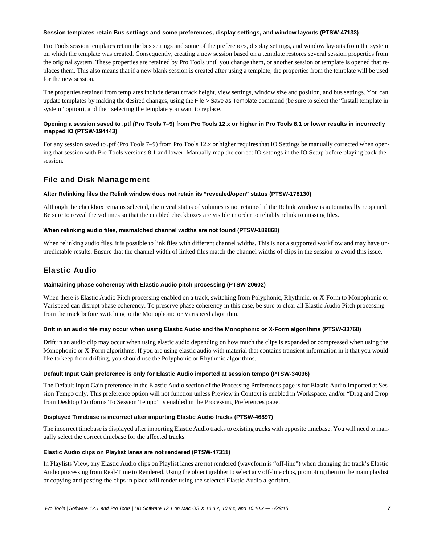#### **Session templates retain Bus settings and some preferences, display settings, and window layouts (PTSW-47133)**

Pro Tools session templates retain the bus settings and some of the preferences, display settings, and window layouts from the system on which the template was created. Consequently, creating a new session based on a template restores several session properties from the original system. These properties are retained by Pro Tools until you change them, or another session or template is opened that replaces them. This also means that if a new blank session is created after using a template, the properties from the template will be used for the new session.

The properties retained from templates include default track height, view settings, window size and position, and bus settings. You can update templates by making the desired changes, using the File > Save as Template command (be sure to select the "Install template in system" option), and then selecting the template you want to replace.

# **Opening a session saved to .ptf (Pro Tools 7–9) from Pro Tools 12.x or higher in Pro Tools 8.1 or lower results in incorrectly mapped IO (PTSW-194443)**

For any session saved to .ptf (Pro Tools 7–9) from Pro Tools 12.x or higher requires that IO Settings be manually corrected when opening that session with Pro Tools versions 8.1 and lower. Manually map the correct IO settings in the IO Setup before playing back the session.

# File and Disk Management

# **After Relinking files the Relink window does not retain its "revealed/open" status (PTSW-178130)**

Although the checkbox remains selected, the reveal status of volumes is not retained if the Relink window is automatically reopened. Be sure to reveal the volumes so that the enabled checkboxes are visible in order to reliably relink to missing files.

# **When relinking audio files, mismatched channel widths are not found (PTSW-189868)**

When relinking audio files, it is possible to link files with different channel widths. This is not a supported workflow and may have unpredictable results. Ensure that the channel width of linked files match the channel widths of clips in the session to avoid this issue.

# Elastic Audio

# **Maintaining phase coherency with Elastic Audio pitch processing (PTSW-20602)**

When there is Elastic Audio Pitch processing enabled on a track, switching from Polyphonic, Rhythmic, or X-Form to Monophonic or Varispeed can disrupt phase coherency. To preserve phase coherency in this case, be sure to clear all Elastic Audio Pitch processing from the track before switching to the Monophonic or Varispeed algorithm.

# **Drift in an audio file may occur when using Elastic Audio and the Monophonic or X-Form algorithms (PTSW-33768)**

Drift in an audio clip may occur when using elastic audio depending on how much the clips is expanded or compressed when using the Monophonic or X-Form algorithms. If you are using elastic audio with material that contains transient information in it that you would like to keep from drifting, you should use the Polyphonic or Rhythmic algorithms.

# **Default Input Gain preference is only for Elastic Audio imported at session tempo (PTSW-34096)**

The Default Input Gain preference in the Elastic Audio section of the Processing Preferences page is for Elastic Audio Imported at Session Tempo only. This preference option will not function unless Preview in Context is enabled in Workspace, and/or "Drag and Drop from Desktop Conforms To Session Tempo" is enabled in the Processing Preferences page.

# **Displayed Timebase is incorrect after importing Elastic Audio tracks (PTSW-46897)**

The incorrect timebase is displayed after importing Elastic Audio tracks to existing tracks with opposite timebase. You will need to manually select the correct timebase for the affected tracks.

# **Elastic Audio clips on Playlist lanes are not rendered (PTSW-47311)**

In Playlists View, any Elastic Audio clips on Playlist lanes are not rendered (waveform is "off-line") when changing the track's Elastic Audio processing from Real-Time to Rendered. Using the object grabber to select any off-line clips, promoting them to the main playlist or copying and pasting the clips in place will render using the selected Elastic Audio algorithm.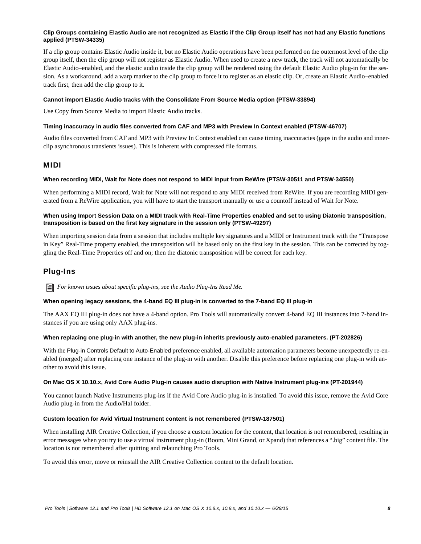# **Clip Groups containing Elastic Audio are not recognized as Elastic if the Clip Group itself has not had any Elastic functions applied (PTSW-34335)**

If a clip group contains Elastic Audio inside it, but no Elastic Audio operations have been performed on the outermost level of the clip group itself, then the clip group will not register as Elastic Audio. When used to create a new track, the track will not automatically be Elastic Audio–enabled, and the elastic audio inside the clip group will be rendered using the default Elastic Audio plug-in for the session. As a workaround, add a warp marker to the clip group to force it to register as an elastic clip. Or, create an Elastic Audio–enabled track first, then add the clip group to it.

### **Cannot import Elastic Audio tracks with the Consolidate From Source Media option (PTSW-33894)**

Use Copy from Source Media to import Elastic Audio tracks.

# **Timing inaccuracy in audio files converted from CAF and MP3 with Preview In Context enabled (PTSW-46707)**

Audio files converted from CAF and MP3 with Preview In Context enabled can cause timing inaccuracies (gaps in the audio and innerclip asynchronous transients issues). This is inherent with compressed file formats.

# MIDI

### **When recording MIDI, Wait for Note does not respond to MIDI input from ReWire (PTSW-30511 and PTSW-34550)**

When performing a MIDI record, Wait for Note will not respond to any MIDI received from ReWire. If you are recording MIDI generated from a ReWire application, you will have to start the transport manually or use a countoff instead of Wait for Note.

### **When using Import Session Data on a MIDI track with Real-Time Properties enabled and set to using Diatonic transposition, transposition is based on the first key signature in the session only (PTSW-49297)**

When importing session data from a session that includes multiple key signatures and a MIDI or Instrument track with the "Transpose in Key" Real-Time property enabled, the transposition will be based only on the first key in the session. This can be corrected by toggling the Real-Time Properties off and on; then the diatonic transposition will be correct for each key.

# Plug-Ins

*For known issues about specific plug-ins, see the Audio Plug-Ins Read Me.*

# **When opening legacy sessions, the 4-band EQ III plug-in is converted to the 7-band EQ III plug-in**

The AAX EQ III plug-in does not have a 4-band option. Pro Tools will automatically convert 4-band EQ III instances into 7-band instances if you are using only AAX plug-ins.

#### **When replacing one plug-in with another, the new plug-in inherits previously auto-enabled parameters. (PT-202826)**

With the Plug-in Controls Default to Auto-Enabled preference enabled, all available automation parameters become unexpectedly re-enabled (merged) after replacing one instance of the plug-in with another. Disable this preference before replacing one plug-in with another to avoid this issue.

#### **On Mac OS X 10.10.x, Avid Core Audio Plug-in causes audio disruption with Native Instrument plug-ins (PT-201944)**

You cannot launch Native Instruments plug-ins if the Avid Core Audio plug-in is installed. To avoid this issue, remove the Avid Core Audio plug-in from the Audio/Hal folder.

#### **Custom location for Avid Virtual Instrument content is not remembered (PTSW-187501)**

When installing AIR Creative Collection, if you choose a custom location for the content, that location is not remembered, resulting in error messages when you try to use a virtual instrument plug-in (Boom, Mini Grand, or Xpand) that references a ".big" content file. The location is not remembered after quitting and relaunching Pro Tools.

To avoid this error, move or reinstall the AIR Creative Collection content to the default location.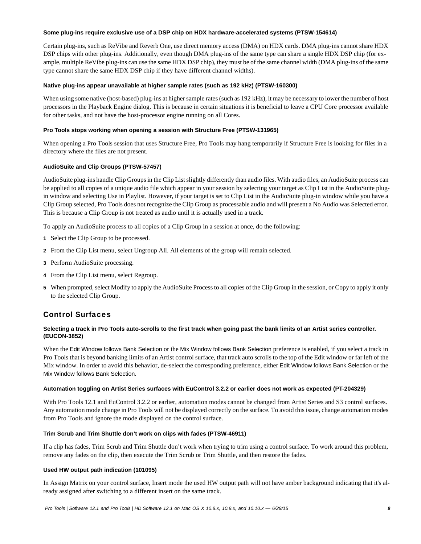#### **Some plug-ins require exclusive use of a DSP chip on HDX hardware-accelerated systems (PTSW-154614)**

Certain plug-ins, such as ReVibe and Reverb One, use direct memory access (DMA) on HDX cards. DMA plug-ins cannot share HDX DSP chips with other plug-ins. Additionally, even though DMA plug-ins of the same type can share a single HDX DSP chip (for example, multiple ReVibe plug-ins can use the same HDX DSP chip), they must be of the same channel width (DMA plug-ins of the same type cannot share the same HDX DSP chip if they have different channel widths).

# **Native plug-ins appear unavailable at higher sample rates (such as 192 kHz) (PTSW-160300)**

When using some native (host-based) plug-ins at higher sample rates (such as 192 kHz), it may be necessary to lower the number of host processors in the Playback Engine dialog. This is because in certain situations it is beneficial to leave a CPU Core processor available for other tasks, and not have the host-processor engine running on all Cores.

# **Pro Tools stops working when opening a session with Structure Free (PTSW-131965)**

When opening a Pro Tools session that uses Structure Free, Pro Tools may hang temporarily if Structure Free is looking for files in a directory where the files are not present.

# **AudioSuite and Clip Groups (PTSW-57457)**

AudioSuite plug-ins handle Clip Groups in the Clip List slightly differently than audio files. With audio files, an AudioSuite process can be applied to all copies of a unique audio file which appear in your session by selecting your target as Clip List in the AudioSuite plugin window and selecting Use in Playlist. However, if your target is set to Clip List in the AudioSuite plug-in window while you have a Clip Group selected, Pro Tools does not recognize the Clip Group as processable audio and will present a No Audio was Selected error. This is because a Clip Group is not treated as audio until it is actually used in a track.

To apply an AudioSuite process to all copies of a Clip Group in a session at once, do the following:

- **1** Select the Clip Group to be processed.
- **2** From the Clip List menu, select Ungroup All. All elements of the group will remain selected.
- **3** Perform AudioSuite processing.
- **4** From the Clip List menu, select Regroup.
- **5** When prompted, select Modify to apply the AudioSuite Process to all copies of the Clip Group in the session, or Copy to apply it only to the selected Clip Group.

# Control Surfaces

# **Selecting a track in Pro Tools auto-scrolls to the first track when going past the bank limits of an Artist series controller. (EUCON-3852)**

When the Edit Window follows Bank Selection or the Mix Window follows Bank Selection preference is enabled, if you select a track in Pro Tools that is beyond banking limits of an Artist control surface, that track auto scrolls to the top of the Edit window or far left of the Mix window. In order to avoid this behavior, de-select the corresponding preference, either Edit Window follows Bank Selection or the Mix Window follows Bank Selection.

# **Automation toggling on Artist Series surfaces with EuControl 3.2.2 or earlier does not work as expected (PT-204329)**

With Pro Tools 12.1 and EuControl 3.2.2 or earlier, automation modes cannot be changed from Artist Series and S3 control surfaces. Any automation mode change in Pro Tools will not be displayed correctly on the surface. To avoid this issue, change automation modes from Pro Tools and ignore the mode displayed on the control surface.

# **Trim Scrub and Trim Shuttle don't work on clips with fades (PTSW-46911)**

If a clip has fades, Trim Scrub and Trim Shuttle don't work when trying to trim using a control surface. To work around this problem, remove any fades on the clip, then execute the Trim Scrub or Trim Shuttle, and then restore the fades.

# **Used HW output path indication (101095)**

In Assign Matrix on your control surface, Insert mode the used HW output path will not have amber background indicating that it's already assigned after switching to a different insert on the same track.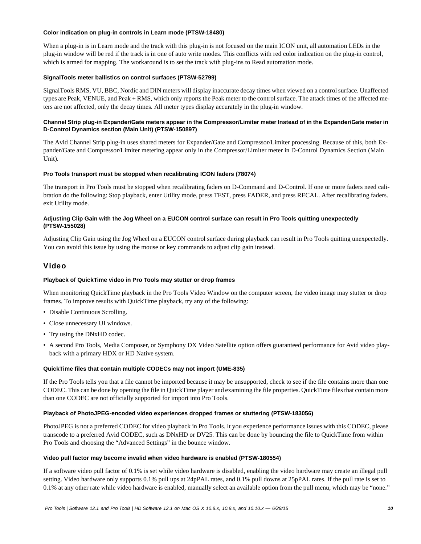### **Color indication on plug-in controls in Learn mode (PTSW-18480)**

When a plug-in is in Learn mode and the track with this plug-in is not focused on the main ICON unit, all automation LEDs in the plug-in window will be red if the track is in one of auto write modes. This conflicts with red color indication on the plug-in control, which is armed for mapping. The workaround is to set the track with plug-ins to Read automation mode.

### **SignalTools meter ballistics on control surfaces (PTSW-52799)**

SignalTools RMS, VU, BBC, Nordic and DIN meters will display inaccurate decay times when viewed on a control surface. Unaffected types are Peak, VENUE, and Peak + RMS, which only reports the Peak meter to the control surface. The attack times of the affected meters are not affected, only the decay times. All meter types display accurately in the plug-in window.

# **Channel Strip plug-in Expander/Gate meters appear in the Compressor/Limiter meter Instead of in the Expander/Gate meter in D-Control Dynamics section (Main Unit) (PTSW-150897)**

The Avid Channel Strip plug-in uses shared meters for Expander/Gate and Compressor/Limiter processing. Because of this, both Expander/Gate and Compressor/Limiter metering appear only in the Compressor/Limiter meter in D-Control Dynamics Section (Main Unit).

### **Pro Tools transport must be stopped when recalibrating ICON faders (78074)**

The transport in Pro Tools must be stopped when recalibrating faders on D-Command and D-Control. If one or more faders need calibration do the following: Stop playback, enter Utility mode, press TEST, press FADER, and press RECAL. After recalibrating faders. exit Utility mode.

### **Adjusting Clip Gain with the Jog Wheel on a EUCON control surface can result in Pro Tools quitting unexpectedly (PTSW-155028)**

Adjusting Clip Gain using the Jog Wheel on a EUCON control surface during playback can result in Pro Tools quitting unexpectedly. You can avoid this issue by using the mouse or key commands to adjust clip gain instead.

# Video

# **Playback of QuickTime video in Pro Tools may stutter or drop frames**

When monitoring QuickTime playback in the Pro Tools Video Window on the computer screen, the video image may stutter or drop frames. To improve results with QuickTime playback, try any of the following:

- Disable Continuous Scrolling.
- Close unnecessary UI windows.
- Try using the DNxHD codec.
- A second Pro Tools, Media Composer, or Symphony DX Video Satellite option offers guaranteed performance for Avid video playback with a primary HDX or HD Native system.

#### **QuickTime files that contain multiple CODECs may not import (UME-835)**

If the Pro Tools tells you that a file cannot be imported because it may be unsupported, check to see if the file contains more than one CODEC. This can be done by opening the file in QuickTime player and examining the file properties. QuickTime files that contain more than one CODEC are not officially supported for import into Pro Tools.

#### **Playback of PhotoJPEG-encoded video experiences dropped frames or stuttering (PTSW-183056)**

PhotoJPEG is not a preferred CODEC for video playback in Pro Tools. It you experience performance issues with this CODEC, please transcode to a preferred Avid CODEC, such as DNxHD or DV25. This can be done by bouncing the file to QuickTime from within Pro Tools and choosing the "Advanced Settings" in the bounce window.

#### **Video pull factor may become invalid when video hardware is enabled (PTSW-180554)**

If a software video pull factor of 0.1% is set while video hardware is disabled, enabling the video hardware may create an illegal pull setting. Video hardware only supports 0.1% pull ups at 24pPAL rates, and 0.1% pull downs at 25pPAL rates. If the pull rate is set to 0.1% at any other rate while video hardware is enabled, manually select an available option from the pull menu, which may be "none."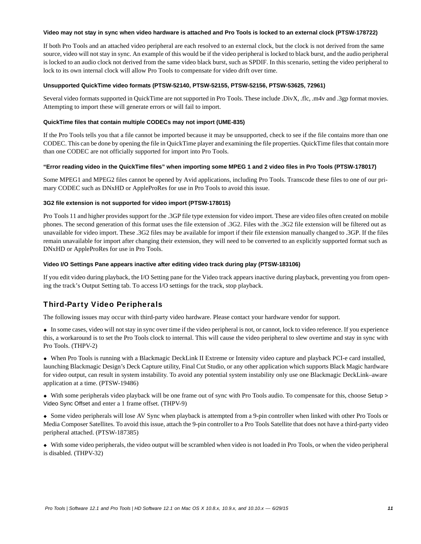#### **Video may not stay in sync when video hardware is attached and Pro Tools is locked to an external clock (PTSW-178722)**

If both Pro Tools and an attached video peripheral are each resolved to an external clock, but the clock is not derived from the same source, video will not stay in sync. An example of this would be if the video peripheral is locked to black burst, and the audio peripheral is locked to an audio clock not derived from the same video black burst, such as SPDIF. In this scenario, setting the video peripheral to lock to its own internal clock will allow Pro Tools to compensate for video drift over time.

### **Unsupported QuickTime video formats (PTSW-52140, PTSW-52155, PTSW-52156, PTSW-53625, 72961)**

Several video formats supported in QuickTime are not supported in Pro Tools. These include .DivX, .flc, .m4v and .3gp format movies. Attempting to import these will generate errors or will fail to import.

#### **QuickTime files that contain multiple CODECs may not import (UME-835)**

If the Pro Tools tells you that a file cannot be imported because it may be unsupported, check to see if the file contains more than one CODEC. This can be done by opening the file in QuickTime player and examining the file properties. QuickTime files that contain more than one CODEC are not officially supported for import into Pro Tools.

### **"Error reading video in the QuickTime files" when importing some MPEG 1 and 2 video files in Pro Tools (PTSW-178017)**

Some MPEG1 and MPEG2 files cannot be opened by Avid applications, including Pro Tools. Transcode these files to one of our primary CODEC such as DNxHD or AppleProRes for use in Pro Tools to avoid this issue.

### **3G2 file extension is not supported for video import (PTSW-178015)**

Pro Tools 11 and higher provides support for the .3GP file type extension for video import. These are video files often created on mobile phones. The second generation of this format uses the file extension of .3G2. Files with the .3G2 file extension will be filtered out as unavailable for video import. These .3G2 files may be available for import if their file extension manually changed to .3GP. If the files remain unavailable for import after changing their extension, they will need to be converted to an explicitly supported format such as DNxHD or AppleProRes for use in Pro Tools.

### **Video I/O Settings Pane appears inactive after editing video track during play (PTSW-183106)**

If you edit video during playback, the I/O Setting pane for the Video track appears inactive during playback, preventing you from opening the track's Output Setting tab. To access I/O settings for the track, stop playback.

# Third-Party Video Peripherals

The following issues may occur with third-party video hardware. Please contact your hardware vendor for support.

 In some cases, video will not stay in sync over time if the video peripheral is not, or cannot, lock to video reference. If you experience this, a workaround is to set the Pro Tools clock to internal. This will cause the video peripheral to slew overtime and stay in sync with Pro Tools. (THPV-2)

 When Pro Tools is running with a Blackmagic DeckLink II Extreme or Intensity video capture and playback PCI-e card installed, launching Blackmagic Design's Deck Capture utility, Final Cut Studio, or any other application which supports Black Magic hardware for video output, can result in system instability. To avoid any potential system instability only use one Blackmagic DeckLink–aware application at a time. (PTSW-19486)

 With some peripherals video playback will be one frame out of sync with Pro Tools audio. To compensate for this, choose Setup > Video Sync Offset and enter a 1 frame offset. (THPV-9)

 Some video peripherals will lose AV Sync when playback is attempted from a 9-pin controller when linked with other Pro Tools or Media Composer Satellites. To avoid this issue, attach the 9-pin controller to a Pro Tools Satellite that does not have a third-party video peripheral attached. (PTSW-187385)

 With some video peripherals, the video output will be scrambled when video is not loaded in Pro Tools, or when the video peripheral is disabled. (THPV-32)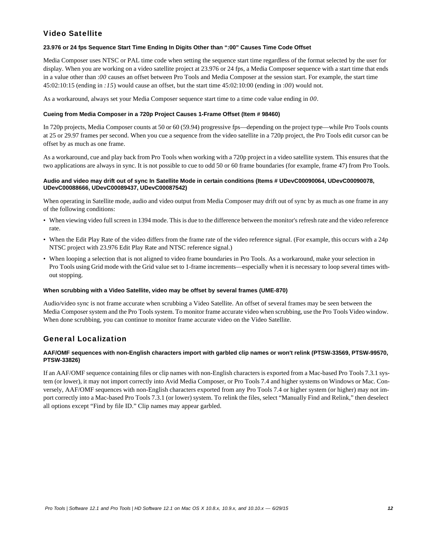# Video Satellite

# **23.976 or 24 fps Sequence Start Time Ending In Digits Other than ":00" Causes Time Code Offset**

Media Composer uses NTSC or PAL time code when setting the sequence start time regardless of the format selected by the user for display. When you are working on a video satellite project at 23.976 or 24 fps, a Media Composer sequence with a start time that ends in a value other than :*00* causes an offset between Pro Tools and Media Composer at the session start. For example, the start time 45:02:10:15 (ending in *:15*) would cause an offset, but the start time 45:02:10:00 (ending in :*00*) would not.

As a workaround, always set your Media Composer sequence start time to a time code value ending in *00*.

# **Cueing from Media Composer in a 720p Project Causes 1-Frame Offset (Item # 98460)**

In 720p projects, Media Composer counts at 50 or 60 (59.94) progressive fps—depending on the project type—while Pro Tools counts at 25 or 29.97 frames per second. When you cue a sequence from the video satellite in a 720p project, the Pro Tools edit cursor can be offset by as much as one frame.

As a workaround, cue and play back from Pro Tools when working with a 720p project in a video satellite system. This ensures that the two applications are always in sync. It is not possible to cue to odd 50 or 60 frame boundaries (for example, frame 47) from Pro Tools.

# **Audio and video may drift out of sync In Satellite Mode in certain conditions (Items # UDevC00090064, UDevC00090078, UDevC00088666, UDevC00089437, UDevC00087542)**

When operating in Satellite mode, audio and video output from Media Composer may drift out of sync by as much as one frame in any of the following conditions:

- When viewing video full screen in 1394 mode. This is due to the difference between the monitor's refresh rate and the video reference rate.
- When the Edit Play Rate of the video differs from the frame rate of the video reference signal. (For example, this occurs with a 24p NTSC project with 23.976 Edit Play Rate and NTSC reference signal.)
- When looping a selection that is not aligned to video frame boundaries in Pro Tools. As a workaround, make your selection in Pro Tools using Grid mode with the Grid value set to 1-frame increments—especially when it is necessary to loop several times without stopping.

# **When scrubbing with a Video Satellite, video may be offset by several frames (UME-870)**

Audio/video sync is not frame accurate when scrubbing a Video Satellite. An offset of several frames may be seen between the Media Composer system and the Pro Tools system. To monitor frame accurate video when scrubbing, use the Pro Tools Video window. When done scrubbing, you can continue to monitor frame accurate video on the Video Satellite.

# General Localization

# **AAF/OMF sequences with non-English characters import with garbled clip names or won't relink (PTSW-33569, PTSW-99570, PTSW-33826)**

If an AAF/OMF sequence containing files or clip names with non-English characters is exported from a Mac-based Pro Tools 7.3.1 system (or lower), it may not import correctly into Avid Media Composer, or Pro Tools 7.4 and higher systems on Windows or Mac. Conversely, AAF/OMF sequences with non-English characters exported from any Pro Tools 7.4 or higher system (or higher) may not import correctly into a Mac-based Pro Tools 7.3.1 (or lower) system. To relink the files, select "Manually Find and Relink," then deselect all options except "Find by file ID." Clip names may appear garbled.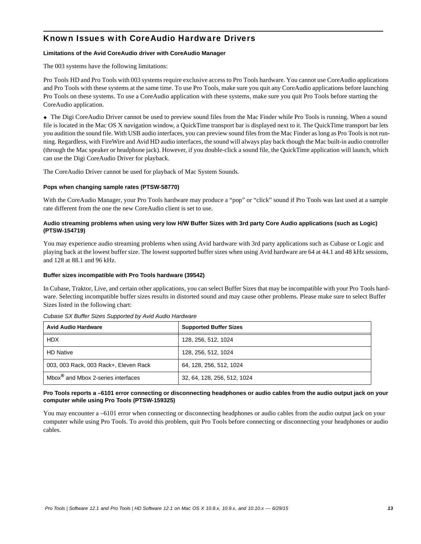# Known Issues with CoreAudio Hardware Drivers

# **Limitations of the Avid CoreAudio driver with CoreAudio Manager**

The 003 systems have the following limitations:

Pro Tools HD and Pro Tools with 003 systems require exclusive access to Pro Tools hardware. You cannot use CoreAudio applications and Pro Tools with these systems at the same time. To use Pro Tools, make sure you quit any CoreAudio applications before launching Pro Tools on these systems. To use a CoreAudio application with these systems, make sure you quit Pro Tools before starting the CoreAudio application.

 The Digi CoreAudio Driver cannot be used to preview sound files from the Mac Finder while Pro Tools is running. When a sound file is located in the Mac OS X navigation window, a QuickTime transport bar is displayed next to it. The QuickTime transport bar lets you audition the sound file. With USB audio interfaces, you can preview sound files from the Mac Finder as long as Pro Tools is not running. Regardless, with FireWire and Avid HD audio interfaces, the sound will always play back though the Mac built-in audio controller (through the Mac speaker or headphone jack). However, if you double-click a sound file, the QuickTime application will launch, which can use the Digi CoreAudio Driver for playback.

The CoreAudio Driver cannot be used for playback of Mac System Sounds.

# **Pops when changing sample rates (PTSW-58770)**

With the CoreAudio Manager, your Pro Tools hardware may produce a "pop" or "click" sound if Pro Tools was last used at a sample rate different from the one the new CoreAudio client is set to use.

# **Audio streaming problems when using very low H/W Buffer Sizes with 3rd party Core Audio applications (such as Logic) (PTSW-154719)**

You may experience audio streaming problems when using Avid hardware with 3rd party applications such as Cubase or Logic and playing back at the lowest buffer size. The lowest supported buffer sizes when using Avid hardware are 64 at 44.1 and 48 kHz sessions, and 128 at 88.1 and 96 kHz.

# **Buffer sizes incompatible with Pro Tools hardware (39542)**

In Cubase, Traktor, Live, and certain other applications, you can select Buffer Sizes that may be incompatible with your Pro Tools hardware. Selecting incompatible buffer sizes results in distorted sound and may cause other problems. Please make sure to select Buffer Sizes listed in the following chart:

| <b>Avid Audio Hardware</b>                     | <b>Supported Buffer Sizes</b> |
|------------------------------------------------|-------------------------------|
| <b>HDX</b>                                     | 128, 256, 512, 1024           |
| <b>HD Native</b>                               | 128, 256, 512, 1024           |
| 003, 003 Rack, 003 Rack+, Eleven Rack          | 64, 128, 256, 512, 1024       |
| Mbox <sup>®</sup> and Mbox 2-series interfaces | 32, 64, 128, 256, 512, 1024   |

# *Cubase SX Buffer Sizes Supported by Avid Audio Hardware*

# **Pro Tools reports a –6101 error connecting or disconnecting headphones or audio cables from the audio output jack on your computer while using Pro Tools (PTSW-159325)**

You may encounter a –6101 error when connecting or disconnecting headphones or audio cables from the audio output jack on your computer while using Pro Tools. To avoid this problem, quit Pro Tools before connecting or disconnecting your headphones or audio cables.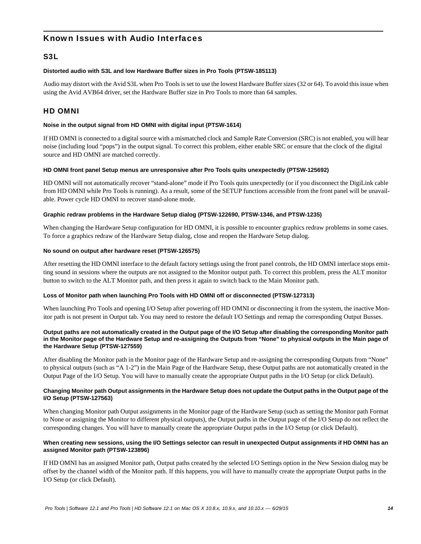# Known Issues with Audio Interfaces

# S3L

### **Distorted audio with S3L and low Hardware Buffer sizes in Pro Tools (PTSW-185113)**

Audio may distort with the Avid S3L when Pro Tools is set to use the lowest Hardware Buffer sizes (32 or 64). To avoid this issue when using the Avid AVB64 driver, set the Hardware Buffer size in Pro Tools to more than 64 samples.

# HD OMNI

### **Noise in the output signal from HD OMNI with digital input (PTSW-1614)**

If HD OMNI is connected to a digital source with a mismatched clock and Sample Rate Conversion (SRC) is not enabled, you will hear noise (including loud "pops") in the output signal. To correct this problem, either enable SRC or ensure that the clock of the digital source and HD OMNI are matched correctly.

### **HD OMNI front panel Setup menus are unresponsive after Pro Tools quits unexpectedly (PTSW-125692)**

HD OMNI will not automatically recover "stand-alone" mode if Pro Tools quits unexpectedly (or if you disconnect the DigiLink cable from HD OMNI while Pro Tools is running). As a result, some of the SETUP functions accessible from the front panel will be unavailable. Power cycle HD OMNI to recover stand-alone mode.

### **Graphic redraw problems in the Hardware Setup dialog (PTSW-122690, PTSW-1346, and PTSW-1235)**

When changing the Hardware Setup configuration for HD OMNI, it is possible to encounter graphics redraw problems in some cases. To force a graphics redraw of the Hardware Setup dialog, close and reopen the Hardware Setup dialog.

#### **No sound on output after hardware reset (PTSW-126575)**

After resetting the HD OMNI interface to the default factory settings using the front panel controls, the HD OMNI interface stops emitting sound in sessions where the outputs are not assigned to the Monitor output path. To correct this problem, press the ALT monitor button to switch to the ALT Monitor path, and then press it again to switch back to the Main Monitor path.

# **Loss of Monitor path when launching Pro Tools with HD OMNI off or disconnected (PTSW-127313)**

When launching Pro Tools and opening I/O Setup after powering off HD OMNI or disconnecting it from the system, the inactive Monitor path is not present in Output tab. You may need to restore the default I/O Settings and remap the corresponding Output Busses.

### **Output paths are not automatically created in the Output page of the I/O Setup after disabling the corresponding Monitor path in the Monitor page of the Hardware Setup and re-assigning the Outputs from "None" to physical outputs in the Main page of the Hardware Setup (PTSW-127559)**

After disabling the Monitor path in the Monitor page of the Hardware Setup and re-assigning the corresponding Outputs from "None" to physical outputs (such as "A 1-2") in the Main Page of the Hardware Setup, these Output paths are not automatically created in the Output Page of the I/O Setup. You will have to manually create the appropriate Output paths in the I/O Setup (or click Default).

### **Changing Monitor path Output assignments in the Hardware Setup does not update the Output paths in the Output page of the I/O Setup (PTSW-127563)**

When changing Monitor path Output assignments in the Monitor page of the Hardware Setup (such as setting the Monitor path Format to None or assigning the Monitor to different physical outputs), the Output paths in the Output page of the I/O Setup do not reflect the corresponding changes. You will have to manually create the appropriate Output paths in the I/O Setup (or click Default).

# **When creating new sessions, using the I/O Settings selector can result in unexpected Output assignments if HD OMNI has an assigned Monitor path (PTSW-123896)**

If HD OMNI has an assigned Monitor path, Output paths created by the selected I/O Settings option in the New Session dialog may be offset by the channel width of the Monitor path. If this happens, you will have to manually create the appropriate Output paths in the I/O Setup (or click Default).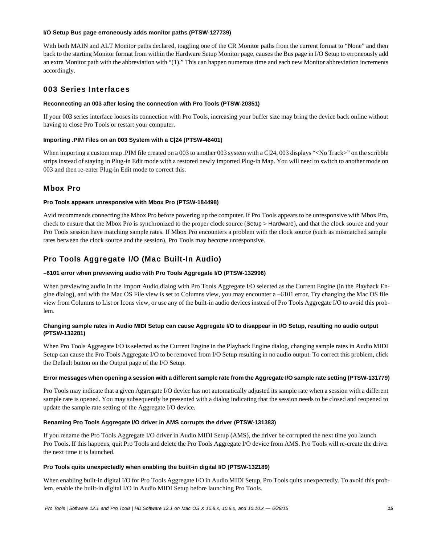#### **I/O Setup Bus page erroneously adds monitor paths (PTSW-127739)**

With both MAIN and ALT Monitor paths declared, toggling one of the CR Monitor paths from the current format to "None" and then back to the starting Monitor format from within the Hardware Setup Monitor page, causes the Bus page in I/O Setup to erroneously add an extra Monitor path with the abbreviation with "(1)." This can happen numerous time and each new Monitor abbreviation increments accordingly.

# 003 Series Interfaces

# **Reconnecting an 003 after losing the connection with Pro Tools (PTSW-20351)**

If your 003 series interface looses its connection with Pro Tools, increasing your buffer size may bring the device back online without having to close Pro Tools or restart your computer.

# **Importing .PIM Files on an 003 System with a C|24 (PTSW-46401)**

When importing a custom map .PIM file created on a 003 to another 003 system with a C|24, 003 displays "<No Track>" on the scribble strips instead of staying in Plug-in Edit mode with a restored newly imported Plug-in Map. You will need to switch to another mode on 003 and then re-enter Plug-in Edit mode to correct this.

# Mbox Pro

# **Pro Tools appears unresponsive with Mbox Pro (PTSW-184498)**

Avid recommends connecting the Mbox Pro before powering up the computer. If Pro Tools appears to be unresponsive with Mbox Pro, check to ensure that the Mbox Pro is synchronized to the proper clock source (Setup > Hardware), and that the clock source and your Pro Tools session have matching sample rates. If Mbox Pro encounters a problem with the clock source (such as mismatched sample rates between the clock source and the session), Pro Tools may become unresponsive.

# Pro Tools Aggregate I/O (Mac Built-In Audio)

# **–6101 error when previewing audio with Pro Tools Aggregate I/O (PTSW-132996)**

When previewing audio in the Import Audio dialog with Pro Tools Aggregate I/O selected as the Current Engine (in the Playback Engine dialog), and with the Mac OS File view is set to Columns view, you may encounter a –6101 error. Try changing the Mac OS file view from Columns to List or Icons view, or use any of the built-in audio devices instead of Pro Tools Aggregate I/O to avoid this problem.

# **Changing sample rates in Audio MIDI Setup can cause Aggregate I/O to disappear in I/O Setup, resulting no audio output (PTSW-132281)**

When Pro Tools Aggregate I/O is selected as the Current Engine in the Playback Engine dialog, changing sample rates in Audio MIDI Setup can cause the Pro Tools Aggregate I/O to be removed from I/O Setup resulting in no audio output. To correct this problem, click the Default button on the Output page of the I/O Setup.

# **Error messages when opening a session with a different sample rate from the Aggregate I/O sample rate setting (PTSW-131779)**

Pro Tools may indicate that a given Aggregate I/O device has not automatically adjusted its sample rate when a session with a different sample rate is opened. You may subsequently be presented with a dialog indicating that the session needs to be closed and reopened to update the sample rate setting of the Aggregate I/O device.

# **Renaming Pro Tools Aggregate I/O driver in AMS corrupts the driver (PTSW-131383)**

If you rename the Pro Tools Aggregate I/O driver in Audio MIDI Setup (AMS), the driver be corrupted the next time you launch Pro Tools. If this happens, quit Pro Tools and delete the Pro Tools Aggregate I/O device from AMS. Pro Tools will re-create the driver the next time it is launched.

# **Pro Tools quits unexpectedly when enabling the built-in digital I/O (PTSW-132189)**

When enabling built-in digital I/O for Pro Tools Aggregate I/O in Audio MIDI Setup, Pro Tools quits unexpectedly. To avoid this problem, enable the built-in digital I/O in Audio MIDI Setup before launching Pro Tools.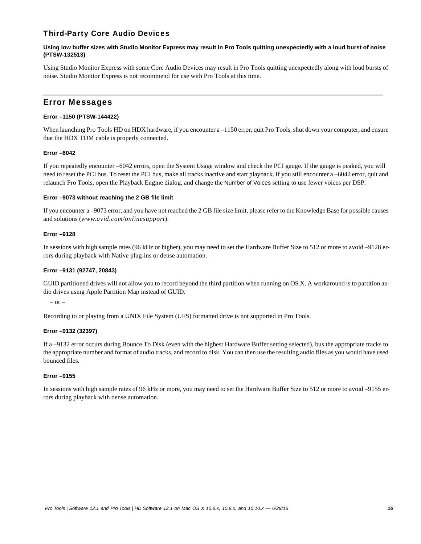# Third-Party Core Audio Devices

### **Using low buffer sizes with Studio Monitor Express may result in Pro Tools quitting unexpectedly with a loud burst of noise (PTSW-132513)**

Using Studio Monitor Express with some Core Audio Devices may result in Pro Tools quitting unexpectedly along with loud bursts of noise. Studio Monitor Express is not recommend for use with Pro Tools at this time.

# Error Messages

# **Error –1150 (PTSW-144422)**

When launching Pro Tools HD on HDX hardware, if you encounter a –1150 error, quit Pro Tools, shut down your computer, and ensure that the HDX TDM cable is properly connected.

# **Error –6042**

If you repeatedly encounter –6042 errors, open the System Usage window and check the PCI gauge. If the gauge is peaked, you will need to reset the PCI bus. To reset the PCI bus, make all tracks inactive and start playback. If you still encounter a –6042 error, quit and relaunch Pro Tools, open the Playback Engine dialog, and change the Number of Voices setting to use fewer voices per DSP.

# **Error –9073 without reaching the 2 GB file limit**

If you encounter a –9073 error, and you have not reached the 2 GB file size limit, please refer to the Knowledge Base for possible causes and solutions (*www.avid.com/onlinesupport*).

# **Error –9128**

In sessions with high sample rates (96 kHz or higher), you may need to set the Hardware Buffer Size to 512 or more to avoid –9128 errors during playback with Native plug-ins or dense automation.

### **Error –9131 (92747, 20843)**

GUID partitioned drives will not allow you to record beyond the third partition when running on OS X. A workaround is to partition audio drives using Apple Partition Map instead of GUID.

– or –

Recording to or playing from a UNIX File System (UFS) formatted drive is not supported in Pro Tools.

# **Error –9132 (32397)**

If a –9132 error occurs during Bounce To Disk (even with the highest Hardware Buffer setting selected), bus the appropriate tracks to the appropriate number and format of audio tracks, and record to disk. You can then use the resulting audio files as you would have used bounced files.

# **Error –9155**

In sessions with high sample rates of 96 kHz or more, you may need to set the Hardware Buffer Size to 512 or more to avoid –9155 errors during playback with dense automation.